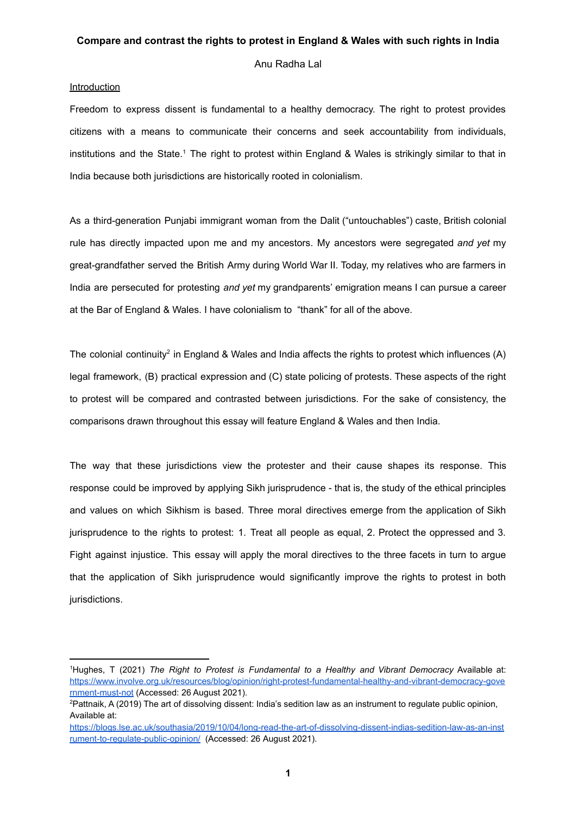Anu Radha Lal

### **Introduction**

Freedom to express dissent is fundamental to a healthy democracy. The right to protest provides citizens with a means to communicate their concerns and seek accountability from individuals, institutions and the State.<sup>1</sup> The right to protest within England & Wales is strikingly similar to that in India because both jurisdictions are historically rooted in colonialism.

As a third-generation Punjabi immigrant woman from the Dalit ("untouchables") caste, British colonial rule has directly impacted upon me and my ancestors. My ancestors were segregated *and yet* my great-grandfather served the British Army during World War II. Today, my relatives who are farmers in India are persecuted for protesting *and yet* my grandparents' emigration means I can pursue a career at the Bar of England & Wales. I have colonialism to "thank" for all of the above.

The colonial continuity<sup>2</sup> in England & Wales and India affects the rights to protest which influences (A) legal framework, (B) practical expression and (C) state policing of protests. These aspects of the right to protest will be compared and contrasted between jurisdictions. For the sake of consistency, the comparisons drawn throughout this essay will feature England & Wales and then India.

The way that these jurisdictions view the protester and their cause shapes its response. This response could be improved by applying Sikh jurisprudence - that is, the study of the ethical principles and values on which Sikhism is based. Three moral directives emerge from the application of Sikh jurisprudence to the rights to protest: 1. Treat all people as equal, 2. Protect the oppressed and 3. Fight against injustice. This essay will apply the moral directives to the three facets in turn to argue that the application of Sikh jurisprudence would significantly improve the rights to protest in both jurisdictions.

<sup>1</sup>Hughes, T (2021) *The Right to Protest is Fundamental to a Healthy and Vibrant Democracy* Available at: [https://www.involve.org.uk/resources/blog/opinion/right-protest-fundamental-healthy-and-vibrant-democracy-gove](https://www.involve.org.uk/resources/blog/opinion/right-protest-fundamental-healthy-and-vibrant-democracy-government-must-not) [rnment-must-not](https://www.involve.org.uk/resources/blog/opinion/right-protest-fundamental-healthy-and-vibrant-democracy-government-must-not) (Accessed: 26 August 2021).

<sup>&</sup>lt;sup>2</sup>Pattnaik, A (2019) The art of dissolving dissent: India's sedition law as an instrument to regulate public opinion, Available at:

[https://blogs.lse.ac.uk/southasia/2019/10/04/long-read-the-art-of-dissolving-dissent-indias-sedition-law-as-an-inst](https://blogs.lse.ac.uk/southasia/2019/10/04/long-read-the-art-of-dissolving-dissent-indias-sedition-law-as-an-instrument-to-regulate-public-opinion/) [rument-to-regulate-public-opinion/](https://blogs.lse.ac.uk/southasia/2019/10/04/long-read-the-art-of-dissolving-dissent-indias-sedition-law-as-an-instrument-to-regulate-public-opinion/) (Accessed: 26 August 2021).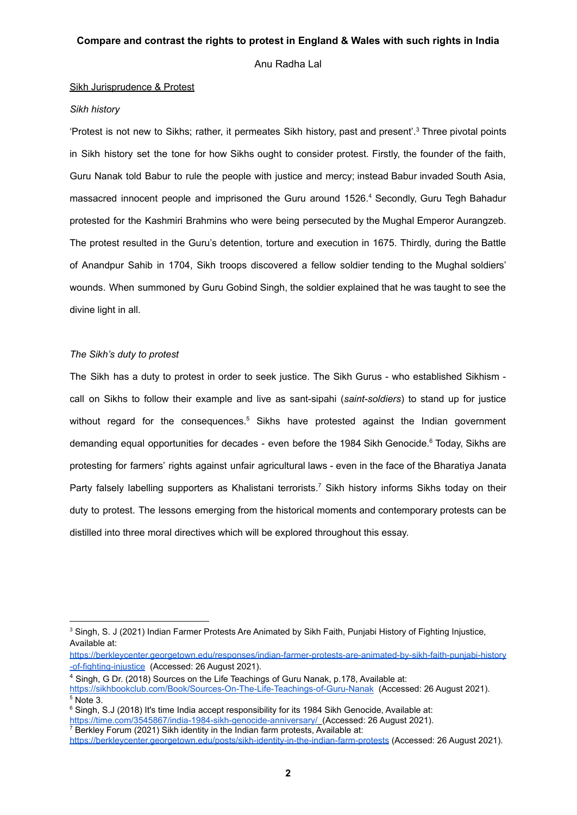Anu Radha Lal

#### Sikh Jurisprudence & Protest

### *Sikh history*

'Protest is not new to Sikhs; rather, it permeates Sikh history, past and present'. <sup>3</sup> Three pivotal points in Sikh history set the tone for how Sikhs ought to consider protest. Firstly, the founder of the faith, Guru Nanak told Babur to rule the people with justice and mercy; instead Babur invaded South Asia, massacred innocent people and imprisoned the Guru around 1526. <sup>4</sup> Secondly, Guru Tegh Bahadur protested for the Kashmiri Brahmins who were being persecuted by the Mughal Emperor Aurangzeb. The protest resulted in the Guru's detention, torture and execution in 1675. Thirdly, during the Battle of Anandpur Sahib in 1704, Sikh troops discovered a fellow soldier tending to the Mughal soldiers' wounds. When summoned by Guru Gobind Singh, the soldier explained that he was taught to see the divine light in all.

# *The Sikh's duty to protest*

The Sikh has a duty to protest in order to seek justice. The Sikh Gurus - who established Sikhism call on Sikhs to follow their example and live as sant-sipahi (*saint-soldiers*) to stand up for justice without regard for the consequences.<sup>5</sup> Sikhs have protested against the Indian government demanding equal opportunities for decades - even before the 1984 Sikh Genocide.<sup>6</sup> Today, Sikhs are protesting for farmers' rights against unfair agricultural laws - even in the face of the Bharatiya Janata Party falsely labelling supporters as Khalistani terrorists.<sup>7</sup> Sikh history informs Sikhs today on their duty to protest. The lessons emerging from the historical moments and contemporary protests can be distilled into three moral directives which will be explored throughout this essay.

<sup>&</sup>lt;sup>3</sup> Singh, S. J (2021) Indian Farmer Protests Are Animated by Sikh Faith, Punjabi History of Fighting Injustice, Available at:

[https://berkleycenter.georgetown.edu/responses/indian-farmer-protests-are-animated-by-sikh-faith-punjabi-history](https://berkleycenter.georgetown.edu/responses/indian-farmer-protests-are-animated-by-sikh-faith-punjabi-history-of-fighting-injustice) [-of-fighting-injustice](https://berkleycenter.georgetown.edu/responses/indian-farmer-protests-are-animated-by-sikh-faith-punjabi-history-of-fighting-injustice) (Accessed: 26 August 2021).

<sup>4</sup> Singh, G Dr. (2018) Sources on the Life Teachings of Guru Nanak, p.178, Available at:

 $5$  Note 3. <https://sikhbookclub.com/Book/Sources-On-The-Life-Teachings-of-Guru-Nanak> (Accessed: 26 August 2021).

 $\overline{7}$  Berkley Forum (2021) Sikh identity in the Indian farm protests, Available at: <sup>6</sup> Singh, S.J (2018) It's time India accept responsibility for its 1984 Sikh Genocide, Available at: <https://time.com/3545867/india-1984-sikh-genocide-anniversary/> (Accessed: 26 August 2021).

<https://berkleycenter.georgetown.edu/posts/sikh-identity-in-the-indian-farm-protests> (Accessed: 26 August 2021).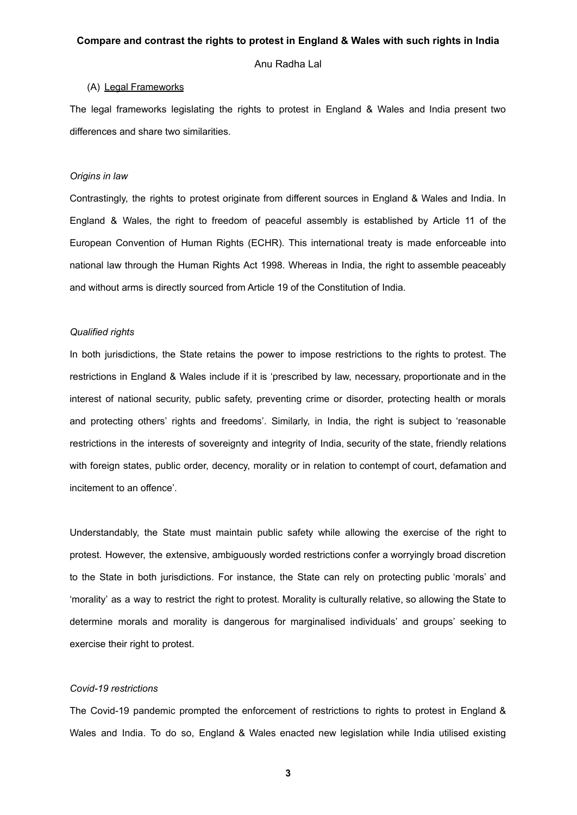Anu Radha Lal

### (A) Legal Frameworks

The legal frameworks legislating the rights to protest in England & Wales and India present two differences and share two similarities.

### *Origins in law*

Contrastingly, the rights to protest originate from different sources in England & Wales and India. In England & Wales, the right to freedom of peaceful assembly is established by Article 11 of the European Convention of Human Rights (ECHR). This international treaty is made enforceable into national law through the Human Rights Act 1998. Whereas in India, the right to assemble peaceably and without arms is directly sourced from Article 19 of the Constitution of India.

#### *Qualified rights*

In both jurisdictions, the State retains the power to impose restrictions to the rights to protest. The restrictions in England & Wales include if it is 'prescribed by law, necessary, proportionate and in the interest of national security, public safety, preventing crime or disorder, protecting health or morals and protecting others' rights and freedoms'. Similarly, in India, the right is subject to 'reasonable restrictions in the interests of sovereignty and integrity of India, security of the state, friendly relations with foreign states, public order, decency, morality or in relation to contempt of court, defamation and incitement to an offence'.

Understandably, the State must maintain public safety while allowing the exercise of the right to protest. However, the extensive, ambiguously worded restrictions confer a worryingly broad discretion to the State in both jurisdictions. For instance, the State can rely on protecting public 'morals' and 'morality' as a way to restrict the right to protest. Morality is culturally relative, so allowing the State to determine morals and morality is dangerous for marginalised individuals' and groups' seeking to exercise their right to protest.

# *Covid-19 restrictions*

The Covid-19 pandemic prompted the enforcement of restrictions to rights to protest in England & Wales and India. To do so, England & Wales enacted new legislation while India utilised existing

**3**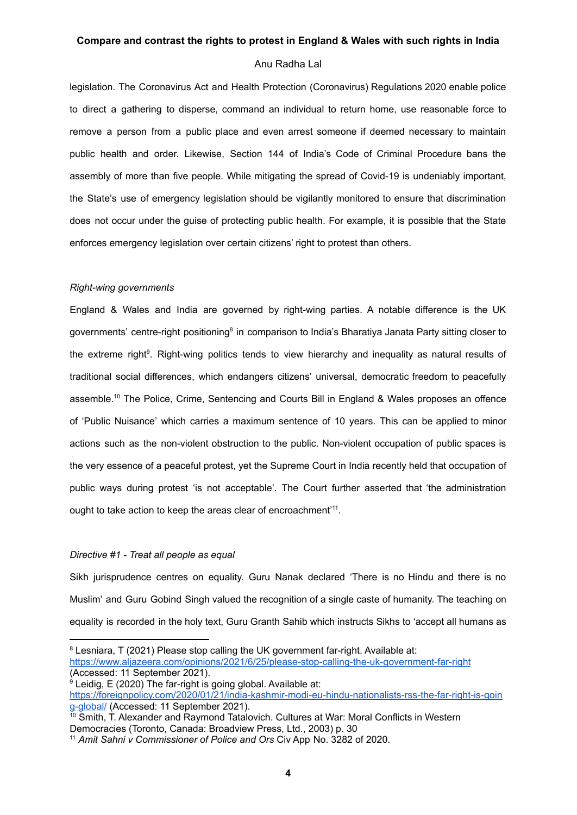# Anu Radha Lal

legislation. The Coronavirus Act and Health Protection (Coronavirus) Regulations 2020 enable police to direct a gathering to disperse, command an individual to return home, use reasonable force to remove a person from a public place and even arrest someone if deemed necessary to maintain public health and order. Likewise, Section 144 of India's Code of Criminal Procedure bans the assembly of more than five people. While mitigating the spread of Covid-19 is undeniably important, the State's use of emergency legislation should be vigilantly monitored to ensure that discrimination does not occur under the guise of protecting public health. For example, it is possible that the State enforces emergency legislation over certain citizens' right to protest than others.

#### *Right-wing governments*

England & Wales and India are governed by right-wing parties. A notable difference is the UK governments' centre-right positioning<sup>8</sup> in comparison to India's Bharatiya Janata Party sitting closer to the extreme right<sup>9</sup>. Right-wing politics tends to view hierarchy and inequality as natural results of traditional social differences, which endangers citizens' universal, democratic freedom to peacefully assemble. <sup>10</sup> The Police, Crime, Sentencing and Courts Bill in England & Wales proposes an offence of 'Public Nuisance' which carries a maximum sentence of 10 years. This can be applied to minor actions such as the non-violent obstruction to the public. Non-violent occupation of public spaces is the very essence of a peaceful protest, yet the Supreme Court in India recently held that occupation of public ways during protest 'is not acceptable'. The Court further asserted that 'the administration ought to take action to keep the areas clear of encroachment'<sup>11</sup>.

### *Directive #1 - Treat all people as equal*

Sikh jurisprudence centres on equality. Guru Nanak declared 'There is no Hindu and there is no Muslim' and Guru Gobind Singh valued the recognition of a single caste of humanity. The teaching on equality is recorded in the holy text, Guru Granth Sahib which instructs Sikhs to 'accept all humans as

<sup>&</sup>lt;sup>8</sup> Lesniara, T (2021) Please stop calling the UK government far-right. Available at:

<https://www.aljazeera.com/opinions/2021/6/25/please-stop-calling-the-uk-government-far-right> (Accessed: 11 September 2021).

<sup>&</sup>lt;sup>9</sup> Leidig, E (2020) The far-right is going global. Available at:

[https://foreignpolicy.com/2020/01/21/india-kashmir-modi-eu-hindu-nationalists-rss-the-far-right-is-goin](https://foreignpolicy.com/2020/01/21/india-kashmir-modi-eu-hindu-nationalists-rss-the-far-right-is-going-global/) [g-global/](https://foreignpolicy.com/2020/01/21/india-kashmir-modi-eu-hindu-nationalists-rss-the-far-right-is-going-global/) (Accessed: 11 September 2021).

<sup>&</sup>lt;sup>10</sup> Smith. T. Alexander and Raymond Tatalovich. Cultures at War: Moral Conflicts in Western Democracies (Toronto, Canada: Broadview Press, Ltd., 2003) p. 30

<sup>11</sup> *Amit Sahni v Commissioner of Police and Ors* Civ App No. 3282 of 2020.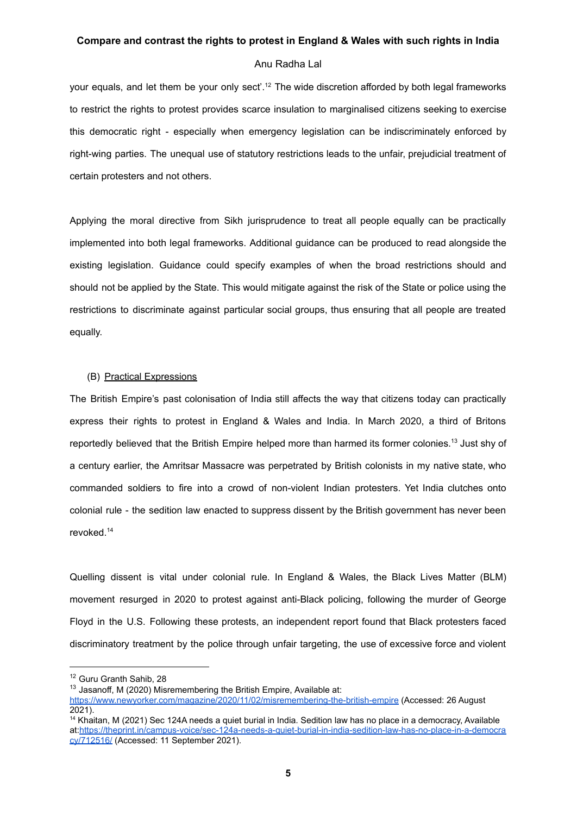### Anu Radha Lal

your equals, and let them be your only sect'.<sup>12</sup> The wide discretion afforded by both legal frameworks to restrict the rights to protest provides scarce insulation to marginalised citizens seeking to exercise this democratic right - especially when emergency legislation can be indiscriminately enforced by right-wing parties. The unequal use of statutory restrictions leads to the unfair, prejudicial treatment of certain protesters and not others.

Applying the moral directive from Sikh jurisprudence to treat all people equally can be practically implemented into both legal frameworks. Additional guidance can be produced to read alongside the existing legislation. Guidance could specify examples of when the broad restrictions should and should not be applied by the State. This would mitigate against the risk of the State or police using the restrictions to discriminate against particular social groups, thus ensuring that all people are treated equally.

# (B) Practical Expressions

The British Empire's past colonisation of India still affects the way that citizens today can practically express their rights to protest in England & Wales and India. In March 2020, a third of Britons reportedly believed that the British Empire helped more than harmed its former colonies.<sup>13</sup> Just shy of a century earlier, the Amritsar Massacre was perpetrated by British colonists in my native state, who commanded soldiers to fire into a crowd of non-violent Indian protesters. Yet India clutches onto colonial rule - the sedition law enacted to suppress dissent by the British government has never been revoked. 14

Quelling dissent is vital under colonial rule. In England & Wales, the Black Lives Matter (BLM) movement resurged in 2020 to protest against anti-Black policing, following the murder of George Floyd in the U.S. Following these protests, an independent report found that Black protesters faced discriminatory treatment by the police through unfair targeting, the use of excessive force and violent

<sup>12</sup> Guru Granth Sahib, 28

 $13$  Jasanoff, M (2020) Misremembering the British Empire, Available at:

<https://www.newyorker.com/magazine/2020/11/02/misremembering-the-british-empire> (Accessed: 26 August 2021).

<sup>&</sup>lt;sup>14</sup> Khaitan, M (2021) Sec 124A needs a quiet burial in India. Sedition law has no place in a democracy, Available at:[https://theprint.in/campus-voice/sec-124a-needs-a-quiet-burial-in-india-sedition-law-has-no-place-in-a-democra](https://theprint.in/campus-voice/sec-124a-needs-a-quiet-burial-in-india-sedition-law-has-no-place-in-a-democracy/712516/) [cy/712516/](https://theprint.in/campus-voice/sec-124a-needs-a-quiet-burial-in-india-sedition-law-has-no-place-in-a-democracy/712516/) (Accessed: 11 September 2021).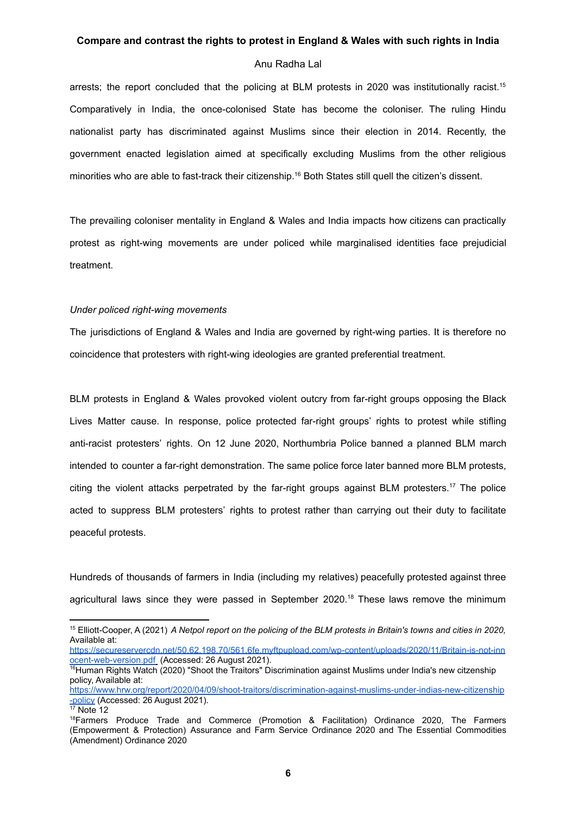### Anu Radha Lal

arrests; the report concluded that the policing at BLM protests in 2020 was institutionally racist.<sup>15</sup> Comparatively in India, the once-colonised State has become the coloniser. The ruling Hindu nationalist party has discriminated against Muslims since their election in 2014. Recently, the government enacted legislation aimed at specifically excluding Muslims from the other religious minorities who are able to fast-track their citizenship.<sup>16</sup> Both States still quell the citizen's dissent.

The prevailing coloniser mentality in England & Wales and India impacts how citizens can practically protest as right-wing movements are under policed while marginalised identities face prejudicial treatment.

### *Under policed right-wing movements*

The jurisdictions of England & Wales and India are governed by right-wing parties. It is therefore no coincidence that protesters with right-wing ideologies are granted preferential treatment.

BLM protests in England & Wales provoked violent outcry from far-right groups opposing the Black Lives Matter cause. In response, police protected far-right groups' rights to protest while stifling anti-racist protesters' rights. On 12 June 2020, Northumbria Police banned a planned BLM march intended to counter a far-right demonstration. The same police force later banned more BLM protests, citing the violent attacks perpetrated by the far-right groups against BLM protesters. <sup>17</sup> The police acted to suppress BLM protesters' rights to protest rather than carrying out their duty to facilitate peaceful protests.

Hundreds of thousands of farmers in India (including my relatives) peacefully protested against three agricultural laws since they were passed in September 2020.<sup>18</sup> These laws remove the minimum

[https://secureservercdn.net/50.62.198.70/561.6fe.myftpupload.com/wp-content/uploads/2020/11/Britain-is-not-inn](https://secureservercdn.net/50.62.198.70/561.6fe.myftpupload.com/wp-content/uploads/2020/11/Britain-is-not-innocent-web-version.pdf) [ocent-web-version.pdf](https://secureservercdn.net/50.62.198.70/561.6fe.myftpupload.com/wp-content/uploads/2020/11/Britain-is-not-innocent-web-version.pdf) (Accessed: 26 August 2021).

<sup>15</sup> Elliott-Cooper, A (2021) *A Netpol report on the policing of the BLM protests in Britain's towns and cities in 2020,* Available at:

<sup>&</sup>lt;sup>16</sup>Human Rights Watch (2020) "Shoot the Traitors" Discrimination against Muslims under India's new citzenship policy, Available at:

[https://www.hrw.org/report/2020/04/09/shoot-traitors/discrimination-against-muslims-under-indias-new-citizenship](https://www.hrw.org/report/2020/04/09/shoot-traitors/discrimination-against-muslims-under-indias-new-citizenship-policy) [-policy](https://www.hrw.org/report/2020/04/09/shoot-traitors/discrimination-against-muslims-under-indias-new-citizenship-policy) (Accessed: 26 August 2021).

 $17$  Note 12

<sup>18</sup>Farmers Produce Trade and Commerce (Promotion & Facilitation) Ordinance 2020, The Farmers (Empowerment & Protection) Assurance and Farm Service Ordinance 2020 and The Essential Commodities (Amendment) Ordinance 2020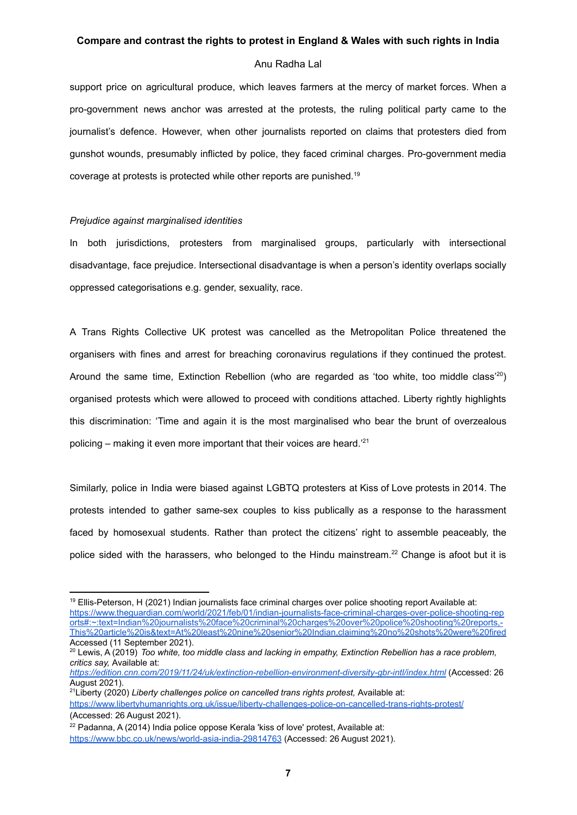### Anu Radha Lal

support price on agricultural produce, which leaves farmers at the mercy of market forces. When a pro-government news anchor was arrested at the protests, the ruling political party came to the journalist's defence. However, when other journalists reported on claims that protesters died from gunshot wounds, presumably inflicted by police, they faced criminal charges. Pro-government media coverage at protests is protected while other reports are punished. 19

#### *Prejudice against marginalised identities*

In both jurisdictions, protesters from marginalised groups, particularly with intersectional disadvantage, face prejudice. Intersectional disadvantage is when a person's identity overlaps socially oppressed categorisations e.g. gender, sexuality, race.

A Trans Rights Collective UK protest was cancelled as the Metropolitan Police threatened the organisers with fines and arrest for breaching coronavirus regulations if they continued the protest. Around the same time, Extinction Rebellion (who are regarded as 'too white, too middle class'<sup>20</sup>) organised protests which were allowed to proceed with conditions attached. Liberty rightly highlights this discrimination: 'Time and again it is the most marginalised who bear the brunt of overzealous policing – making it even more important that their voices are heard.<sup>'21</sup>

Similarly, police in India were biased against LGBTQ protesters at Kiss of Love protests in 2014. The protests intended to gather same-sex couples to kiss publically as a response to the harassment faced by homosexual students. Rather than protect the citizens' right to assemble peaceably, the police sided with the harassers, who belonged to the Hindu mainstream.<sup>22</sup> Change is afoot but it is

<sup>&</sup>lt;sup>19</sup> Ellis-Peterson, H (2021) Indian journalists face criminal charges over police shooting report Available at: [https://www.theguardian.com/world/2021/feb/01/indian-journalists-face-criminal-charges-over-police-shooting-rep](https://www.theguardian.com/world/2021/feb/01/indian-journalists-face-criminal-charges-over-police-shooting-reports#:~:text=Indian%20journalists%20face%20criminal%20charges%20over%20police%20shooting%20reports,-This%20article%20is&text=At%20least%20nine%20senior%20Indian,claiming%20no%20shots%20were%20fired) [orts#:~:text=Indian%20journalists%20face%20criminal%20charges%20over%20police%20shooting%20reports,-](https://www.theguardian.com/world/2021/feb/01/indian-journalists-face-criminal-charges-over-police-shooting-reports#:~:text=Indian%20journalists%20face%20criminal%20charges%20over%20police%20shooting%20reports,-This%20article%20is&text=At%20least%20nine%20senior%20Indian,claiming%20no%20shots%20were%20fired) [This%20article%20is&text=At%20least%20nine%20senior%20Indian,claiming%20no%20shots%20were%20fired](https://www.theguardian.com/world/2021/feb/01/indian-journalists-face-criminal-charges-over-police-shooting-reports#:~:text=Indian%20journalists%20face%20criminal%20charges%20over%20police%20shooting%20reports,-This%20article%20is&text=At%20least%20nine%20senior%20Indian,claiming%20no%20shots%20were%20fired) Accessed (11 September 2021).

<sup>20</sup> Lewis, A (2019) *Too white, too middle class and lacking in empathy, Extinction Rebellion has a race problem, critics say,* Available at:

*<https://edition.cnn.com/2019/11/24/uk/extinction-rebellion-environment-diversity-gbr-intl/index.html>* (Accessed: 26 August 2021).

<sup>21</sup>Liberty (2020) *Liberty challenges police on cancelled trans rights protest,* Available at: <https://www.libertyhumanrights.org.uk/issue/liberty-challenges-police-on-cancelled-trans-rights-protest/> (Accessed: 26 August 2021).

 $22$  Padanna, A (2014) India police oppose Kerala 'kiss of love' protest. Available at: <https://www.bbc.co.uk/news/world-asia-india-29814763> (Accessed: 26 August 2021).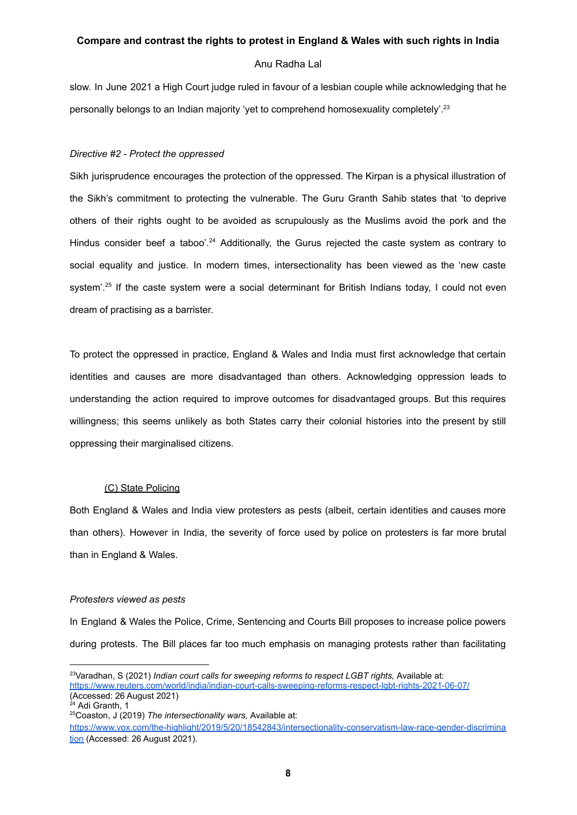# Anu Radha Lal

slow. In June 2021 a High Court judge ruled in favour of a lesbian couple while acknowledging that he personally belongs to an Indian majority 'yet to comprehend homosexuality completely'.<sup>23</sup>

# *Directive #2 - Protect the oppressed*

Sikh jurisprudence encourages the protection of the oppressed. The Kirpan is a physical illustration of the Sikh's commitment to protecting the vulnerable. The Guru Granth Sahib states that 'to deprive others of their rights ought to be avoided as scrupulously as the Muslims avoid the pork and the Hindus consider beef a taboo'.<sup>24</sup> Additionally, the Gurus rejected the caste system as contrary to social equality and justice. In modern times, intersectionality has been viewed as the 'new caste system'.<sup>25</sup> If the caste system were a social determinant for British Indians today, I could not even dream of practising as a barrister.

To protect the oppressed in practice, England & Wales and India must first acknowledge that certain identities and causes are more disadvantaged than others. Acknowledging oppression leads to understanding the action required to improve outcomes for disadvantaged groups. But this requires willingness; this seems unlikely as both States carry their colonial histories into the present by still oppressing their marginalised citizens.

# (C) State Policing

Both England & Wales and India view protesters as pests (albeit, certain identities and causes more than others). However in India, the severity of force used by police on protesters is far more brutal than in England & Wales.

# *Protesters viewed as pests*

In England & Wales the Police, Crime, Sentencing and Courts Bill proposes to increase police powers during protests. The Bill places far too much emphasis on managing protests rather than facilitating

<sup>&</sup>lt;sup>23</sup>Varadhan, S (2021) *Indian court calls for sweeping reforms to respect LGBT rights, Available at:* <https://www.reuters.com/world/india/indian-court-calls-sweeping-reforms-respect-lgbt-rights-2021-06-07/> (Accessed: 26 August 2021)

<sup>&</sup>lt;sup>24</sup> Adi Granth, 1

<sup>25</sup>Coaston, J (2019) *The intersectionality wars,* Available at:

[https://www.vox.com/the-highlight/2019/5/20/18542843/intersectionality-conservatism-law-race-gender-discrimina](https://www.vox.com/the-highlight/2019/5/20/18542843/intersectionality-conservatism-law-race-gender-discrimination) [tion](https://www.vox.com/the-highlight/2019/5/20/18542843/intersectionality-conservatism-law-race-gender-discrimination) (Accessed: 26 August 2021).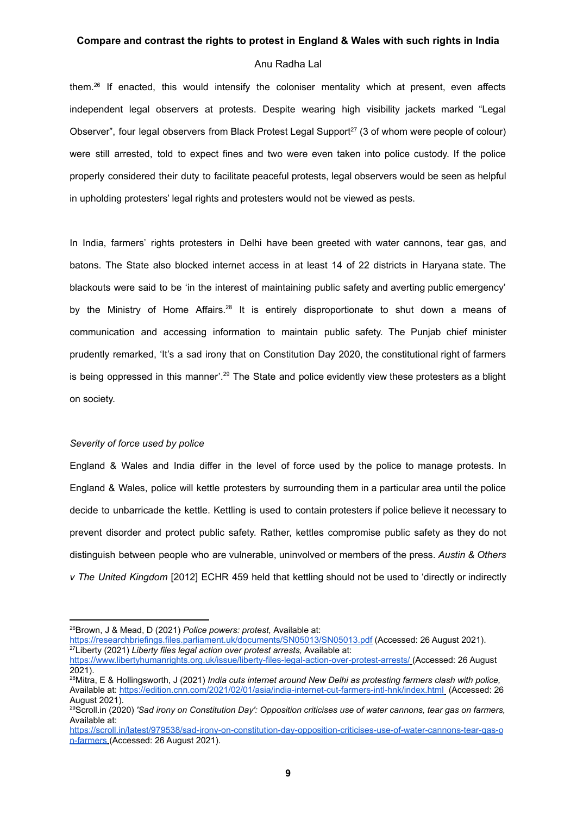### Anu Radha Lal

them.<sup>26</sup> If enacted, this would intensify the coloniser mentality which at present, even affects independent legal observers at protests. Despite wearing high visibility jackets marked "Legal Observer", four legal observers from Black Protest Legal Support<sup>27</sup> (3 of whom were people of colour) were still arrested, told to expect fines and two were even taken into police custody. If the police properly considered their duty to facilitate peaceful protests, legal observers would be seen as helpful in upholding protesters' legal rights and protesters would not be viewed as pests.

In India, farmers' rights protesters in Delhi have been greeted with water cannons, tear gas, and batons. The State also blocked internet access in at least 14 of 22 districts in Haryana state. The blackouts were said to be 'in the interest of maintaining public safety and averting public emergency' by the Ministry of Home Affairs.<sup>28</sup> It is entirely disproportionate to shut down a means of communication and accessing information to maintain public safety. The Punjab chief minister prudently remarked, 'It's a sad irony that on Constitution Day 2020, the constitutional right of farmers is being oppressed in this manner'.<sup>29</sup> The State and police evidently view these protesters as a blight on society.

# *Severity of force used by police*

England & Wales and India differ in the level of force used by the police to manage protests. In England & Wales, police will kettle protesters by surrounding them in a particular area until the police decide to unbarricade the kettle. Kettling is used to contain protesters if police believe it necessary to prevent disorder and protect public safety. Rather, kettles compromise public safety as they do not distinguish between people who are vulnerable, uninvolved or members of the press. *Austin & Others v The United Kingdom* [2012] ECHR 459 held that kettling should not be used to 'directly or indirectly

<sup>26</sup>Brown, J & Mead, D (2021) *Police powers: protest,* Available at:

<sup>27</sup>Liberty (2021) *Liberty files legal action over protest arrests,* Available at: <https://researchbriefings.files.parliament.uk/documents/SN05013/SN05013.pdf> (Accessed: 26 August 2021).

<https://www.libertyhumanrights.org.uk/issue/liberty-files-legal-action-over-protest-arrests/> (Accessed: 26 August 2021).

<sup>28</sup>Mitra, E & Hollingsworth, J (2021) *India cuts internet around New Delhi as protesting farmers clash with police,* Available at: <https://edition.cnn.com/2021/02/01/asia/india-internet-cut-farmers-intl-hnk/index.html> (Accessed: 26 August 2021).

<sup>29</sup>Scroll.in (2020) *'Sad irony on Constitution Day': Opposition criticises use of water cannons, tear gas on farmers,* Available at:

[https://scroll.in/latest/979538/sad-irony-on-constitution-day-opposition-criticises-use-of-water-cannons-tear-gas-o](https://scroll.in/latest/979538/sad-irony-on-constitution-day-opposition-criticises-use-of-water-cannons-tear-gas-on-farmers) [n-farmers](https://scroll.in/latest/979538/sad-irony-on-constitution-day-opposition-criticises-use-of-water-cannons-tear-gas-on-farmers) (Accessed: 26 August 2021).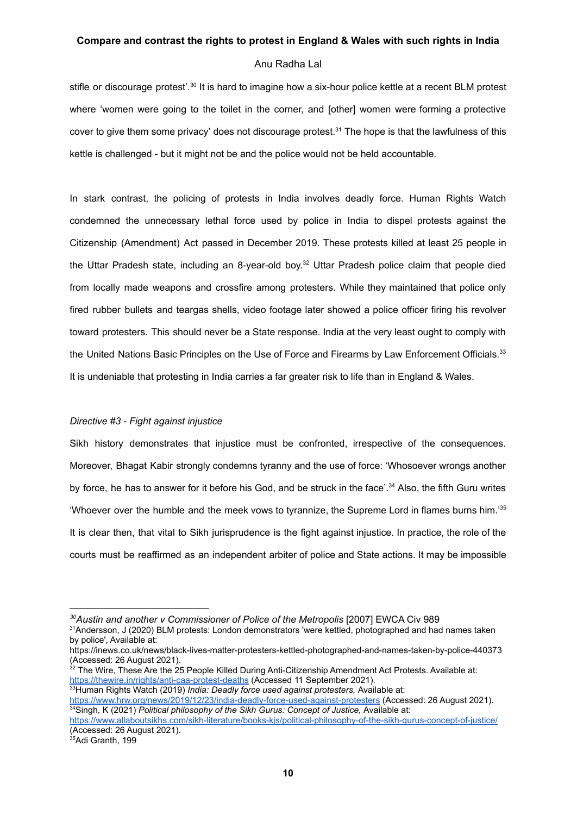# Anu Radha Lal

stifle or discourage protest'.<sup>30</sup> It is hard to imagine how a six-hour police kettle at a recent BLM protest where 'women were going to the toilet in the corner, and [other] women were forming a protective cover to give them some privacy' does not discourage protest.<sup>31</sup> The hope is that the lawfulness of this kettle is challenged - but it might not be and the police would not be held accountable.

In stark contrast, the policing of protests in India involves deadly force. Human Rights Watch condemned the unnecessary lethal force used by police in India to dispel protests against the Citizenship (Amendment) Act passed in December 2019. These protests killed at least 25 people in the Uttar Pradesh state, including an 8-year-old boy.<sup>32</sup> Uttar Pradesh police claim that people died from locally made weapons and crossfire among protesters. While they maintained that police only fired rubber bullets and teargas shells, video footage later showed a police officer firing his revolver toward protesters. This should never be a State response. India at the very least ought to comply with the United Nations Basic Principles on the Use of Force and Firearms by Law Enforcement Officials.<sup>33</sup> It is undeniable that protesting in India carries a far greater risk to life than in England & Wales.

# *Directive #3 - Fight against injustice*

Sikh history demonstrates that injustice must be confronted, irrespective of the consequences. Moreover, Bhagat Kabir strongly condemns tyranny and the use of force: 'Whosoever wrongs another by force, he has to answer for it before his God, and be struck in the face'.<sup>34</sup> Also, the fifth Guru writes 'Whoever over the humble and the meek vows to tyrannize, the Supreme Lord in flames burns him.' 35 It is clear then, that vital to Sikh jurisprudence is the fight against injustice. In practice, the role of the courts must be reaffirmed as an independent arbiter of police and State actions. It may be impossible

<sup>35</sup>Adi Granth, 199

*<sup>30</sup>Austin and another v Commissioner of Police of the Metropolis* [2007] EWCA Civ 989

<sup>31</sup>Andersson, J (2020) BLM protests: London demonstrators 'were kettled, photographed and had names taken by police', Available at:

https://inews.co.uk/news/black-lives-matter-protesters-kettled-photographed-and-names-taken-by-police-440373 (Accessed: 26 August 2021).

 $32$  The Wire, These Are the 25 People Killed During Anti-Citizenship Amendment Act Protests. Available at: <https://thewire.in/rights/anti-caa-protest-deaths> (Accessed 11 September 2021).

<sup>33</sup>Human Rights Watch (2019) *India: Deadly force used against protesters,* Available at:

<sup>34</sup>Singh, K (2021) *Political philosophy of the Sikh Gurus: Concept of Justice,* Available at: <https://www.hrw.org/news/2019/12/23/india-deadly-force-used-against-protesters> (Accessed: 26 August 2021).

<https://www.allaboutsikhs.com/sikh-literature/books-kjs/political-philosophy-of-the-sikh-gurus-concept-of-justice/> (Accessed: 26 August 2021).